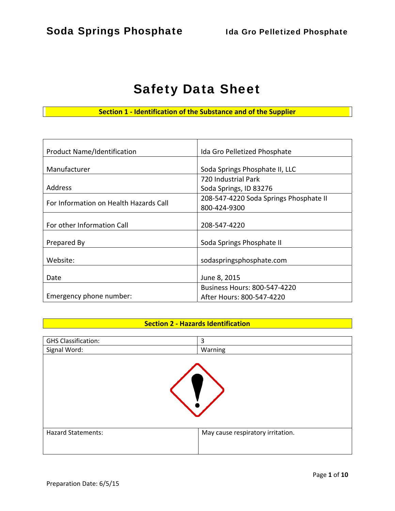# Safety Data Sheet

**Section 1 ‐ Identification of the Substance and of the Supplier**

| <b>Product Name/Identification</b>     | Ida Gro Pelletized Phosphate           |  |
|----------------------------------------|----------------------------------------|--|
|                                        |                                        |  |
| Manufacturer                           | Soda Springs Phosphate II, LLC         |  |
|                                        | 720 Industrial Park                    |  |
| Address                                | Soda Springs, ID 83276                 |  |
| For Information on Health Hazards Call | 208-547-4220 Soda Springs Phosphate II |  |
|                                        | 800-424-9300                           |  |
|                                        |                                        |  |
| For other Information Call             | 208-547-4220                           |  |
|                                        |                                        |  |
| Prepared By                            | Soda Springs Phosphate II              |  |
|                                        |                                        |  |
| Website:                               | sodaspringsphosphate.com               |  |
|                                        |                                        |  |
| Date                                   | June 8, 2015                           |  |
|                                        | <b>Business Hours: 800-547-4220</b>    |  |
| Emergency phone number:                | After Hours: 800-547-4220              |  |

#### **Section 2 ‐ Hazards Identification**

| <b>GHS Classification:</b> | 3                                 |
|----------------------------|-----------------------------------|
| Signal Word:               | Warning                           |
|                            |                                   |
| <b>Hazard Statements:</b>  | May cause respiratory irritation. |
|                            |                                   |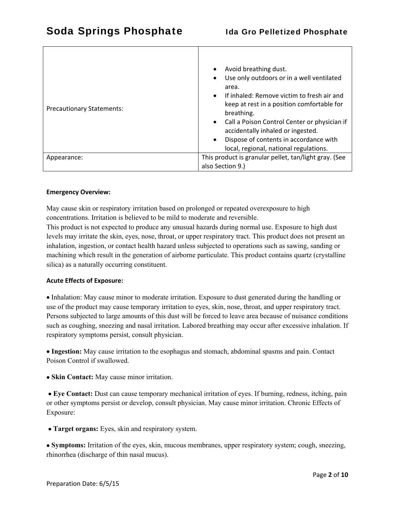| <b>Precautionary Statements:</b> | Avoid breathing dust.<br>$\bullet$<br>Use only outdoors or in a well ventilated<br>٠<br>area.<br>If inhaled: Remove victim to fresh air and<br>$\bullet$<br>keep at rest in a position comfortable for<br>breathing.<br>Call a Poison Control Center or physician if<br>$\bullet$<br>accidentally inhaled or ingested.<br>Dispose of contents in accordance with<br>$\bullet$<br>local, regional, national regulations. |  |
|----------------------------------|-------------------------------------------------------------------------------------------------------------------------------------------------------------------------------------------------------------------------------------------------------------------------------------------------------------------------------------------------------------------------------------------------------------------------|--|
| Appearance:                      | This product is granular pellet, tan/light gray. (See                                                                                                                                                                                                                                                                                                                                                                   |  |
|                                  | also Section 9.)                                                                                                                                                                                                                                                                                                                                                                                                        |  |

#### **Emergency Overview:**

May cause skin or respiratory irritation based on prolonged or repeated overexposure to high concentrations. Irritation is believed to be mild to moderate and reversible.

This product is not expected to produce any unusual hazards during normal use. Exposure to high dust levels may irritate the skin, eyes, nose, throat, or upper respiratory tract. This product does not present an inhalation, ingestion, or contact health hazard unless subjected to operations such as sawing, sanding or machining which result in the generation of airborne particulate. This product contains quartz (crystalline silica) as a naturally occurring constituent.

#### **Acute Effects of Exposure:**

 Inhalation: May cause minor to moderate irritation. Exposure to dust generated during the handling or use of the product may cause temporary irritation to eyes, skin, nose, throat, and upper respiratory tract. Persons subjected to large amounts of this dust will be forced to leave area because of nuisance conditions such as coughing, sneezing and nasal irritation. Labored breathing may occur after excessive inhalation. If respiratory symptoms persist, consult physician.

 **Ingestion:** May cause irritation to the esophagus and stomach, abdominal spasms and pain. Contact Poison Control if swallowed.

 **Skin Contact:** May cause minor irritation.

 **Eye Contact:** Dust can cause temporary mechanical irritation of eyes. If burning, redness, itching, pain or other symptoms persist or develop, consult physician. May cause minor irritation. Chronic Effects of Exposure:

 **Target organs:** Eyes, skin and respiratory system.

 **Symptoms:** Irritation of the eyes, skin, mucous membranes, upper respiratory system; cough, sneezing, rhinorrhea (discharge of thin nasal mucus).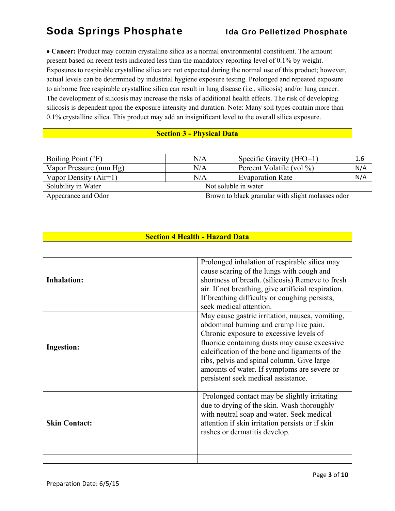**Cancer:** Product may contain crystalline silica as a normal environmental constituent. The amount present based on recent tests indicated less than the mandatory reporting level of 0.1% by weight. Exposures to respirable crystalline silica are not expected during the normal use of this product; however, actual levels can be determined by industrial hygiene exposure testing. Prolonged and repeated exposure to airborne free respirable crystalline silica can result in lung disease (i.e., silicosis) and/or lung cancer. The development of silicosis may increase the risks of additional health effects. The risk of developing silicosis is dependent upon the exposure intensity and duration. Note: Many soil types contain more than 0.1% crystalline silica. This product may add an insignificant level to the overall silica exposure.

### **Section 3 - Physical Data**

| Boiling Point $(^{\circ}F)$ | N/A       |  | Specific Gravity $(H^2O=1)$                       | 1.6 |
|-----------------------------|-----------|--|---------------------------------------------------|-----|
| Vapor Pressure (mm Hg)      | $\rm N/A$ |  | Percent Volatile (vol %)                          | N/A |
| Vapor Density $(Air=1)$     | N/A       |  | <b>Evaporation Rate</b>                           | N/A |
| Solubility in Water         |           |  | Not soluble in water                              |     |
| Appearance and Odor         |           |  | Brown to black granular with slight molasses odor |     |

## **Section 4 Health - Hazard Data**

| <b>Inhalation:</b>   | Prolonged inhalation of respirable silica may<br>cause scaring of the lungs with cough and<br>shortness of breath. (silicosis) Remove to fresh<br>air. If not breathing, give artificial respiration.<br>If breathing difficulty or coughing persists,<br>seek medical attention.                                                                                           |
|----------------------|-----------------------------------------------------------------------------------------------------------------------------------------------------------------------------------------------------------------------------------------------------------------------------------------------------------------------------------------------------------------------------|
| <b>Ingestion:</b>    | May cause gastric irritation, nausea, vomiting,<br>abdominal burning and cramp like pain.<br>Chronic exposure to excessive levels of<br>fluoride containing dusts may cause excessive<br>calcification of the bone and ligaments of the<br>ribs, pelvis and spinal column. Give large<br>amounts of water. If symptoms are severe or<br>persistent seek medical assistance. |
| <b>Skin Contact:</b> | Prolonged contact may be slightly irritating<br>due to drying of the skin. Wash thoroughly<br>with neutral soap and water. Seek medical<br>attention if skin irritation persists or if skin<br>rashes or dermatitis develop.                                                                                                                                                |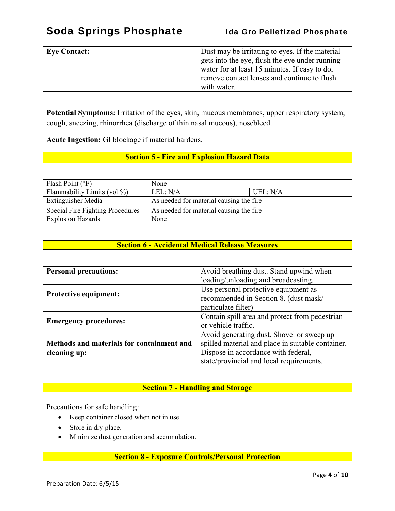| <b>Eye Contact:</b> | Dust may be irritating to eyes. If the material<br>gets into the eye, flush the eye under running<br>water for at least 15 minutes. If easy to do,<br>remove contact lenses and continue to flush |
|---------------------|---------------------------------------------------------------------------------------------------------------------------------------------------------------------------------------------------|
|                     | with water.                                                                                                                                                                                       |

**Potential Symptoms:** Irritation of the eyes, skin, mucous membranes, upper respiratory system, cough, sneezing, rhinorrhea (discharge of thin nasal mucous), nosebleed.

**Acute Ingestion:** GI blockage if material hardens.

### **Section 5 - Fire and Explosion Hazard Data**

| Flash Point $(°F)$               | None                                    |          |
|----------------------------------|-----------------------------------------|----------|
| Flammability Limits (vol $\%$ )  | LEL: N/A                                | UEL: N/A |
| <b>Extinguisher Media</b>        | As needed for material causing the fire |          |
| Special Fire Fighting Procedures | As needed for material causing the fire |          |
| <b>Explosion Hazards</b>         | None                                    |          |

## **Section 6 - Accidental Medical Release Measures**

| <b>Personal precautions:</b>              | Avoid breathing dust. Stand upwind when           |  |
|-------------------------------------------|---------------------------------------------------|--|
|                                           | loading/unloading and broadcasting.               |  |
|                                           | Use personal protective equipment as              |  |
| <b>Protective equipment:</b>              | recommended in Section 8. (dust mask/             |  |
|                                           | particulate filter)                               |  |
| <b>Emergency procedures:</b>              | Contain spill area and protect from pedestrian    |  |
|                                           | or vehicle traffic.                               |  |
|                                           | Avoid generating dust. Shovel or sweep up         |  |
| Methods and materials for containment and | spilled material and place in suitable container. |  |
| cleaning up:                              | Dispose in accordance with federal,               |  |
|                                           | state/provincial and local requirements.          |  |

## **Section 7 - Handling and Storage**

Precautions for safe handling:

- Keep container closed when not in use.
- Store in dry place.
- Minimize dust generation and accumulation.

### **Section 8 - Exposure Controls/Personal Protection**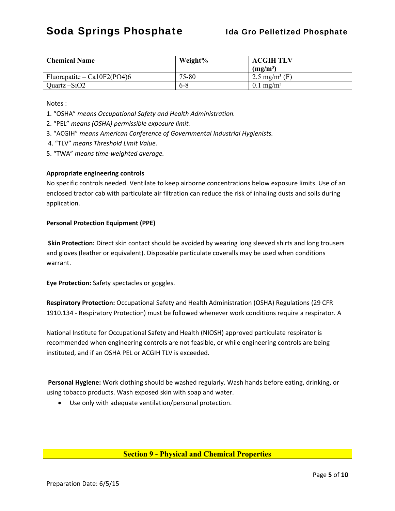| <b>Chemical Name</b>           | Weight% | <b>ACGIH TLV</b>          |
|--------------------------------|---------|---------------------------|
|                                |         | $(mg/m^3)$                |
| Fluorapatite – Ca $10F2(PO4)6$ | 75-80   | 2.5 mg/m <sup>3</sup> (F) |
| Quartz $-SiO2$                 | $6 - 8$ | $0.1 \text{ mg/m}^3$      |

Notes :

- 1. "OSHA" *means Occupational Safety and Health Administration.*
- 2. "PEL" *means (OSHA) permissible exposure limit.*
- 3. "ACGIH" *means American Conference of Governmental Industrial Hygienists.*
- 4. "TLV" *means Threshold Limit Value.*
- 5. "TWA" *means time‐weighted average.*

#### **Appropriate engineering controls**

No specific controls needed. Ventilate to keep airborne concentrations below exposure limits. Use of an enclosed tractor cab with particulate air filtration can reduce the risk of inhaling dusts and soils during application.

#### **Personal Protection Equipment (PPE)**

**Skin Protection:** Direct skin contact should be avoided by wearing long sleeved shirts and long trousers and gloves (leather or equivalent). Disposable particulate coveralls may be used when conditions warrant.

**Eye Protection:** Safety spectacles or goggles.

**Respiratory Protection:** Occupational Safety and Health Administration (OSHA) Regulations (29 CFR 1910.134 ‐ Respiratory Protection) must be followed whenever work conditions require a respirator. A

National Institute for Occupational Safety and Health (NIOSH) approved particulate respirator is recommended when engineering controls are not feasible, or while engineering controls are being instituted, and if an OSHA PEL or ACGIH TLV is exceeded.

**Personal Hygiene:** Work clothing should be washed regularly. Wash hands before eating, drinking, or using tobacco products. Wash exposed skin with soap and water.

Use only with adequate ventilation/personal protection.

#### **Section 9 - Physical and Chemical Properties**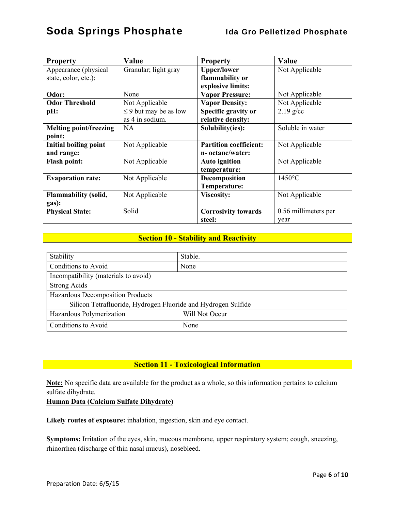| <b>Property</b>               | Value                      | <b>Property</b>               | Value                |
|-------------------------------|----------------------------|-------------------------------|----------------------|
| Appearance (physical          | Granular; light gray       | <b>Upper/lower</b>            | Not Applicable       |
| state, color, etc.):          |                            | flammability or               |                      |
|                               |                            | explosive limits:             |                      |
| Odor:                         | None                       | <b>Vapor Pressure:</b>        | Not Applicable       |
| <b>Odor Threshold</b>         | Not Applicable             | <b>Vapor Density:</b>         | Not Applicable       |
| pH:                           | $\leq$ 9 but may be as low | Specific gravity or           | $2.19$ g/cc          |
|                               | as 4 in sodium.            | relative density:             |                      |
| <b>Melting point/freezing</b> | <b>NA</b>                  | Solubility(ies):              | Soluble in water     |
| point:                        |                            |                               |                      |
| <b>Initial boiling point</b>  | Not Applicable             | <b>Partition coefficient:</b> | Not Applicable       |
| and range:                    |                            | n-octane/water:               |                      |
| <b>Flash point:</b>           | Not Applicable             | <b>Auto ignition</b>          | Not Applicable       |
|                               |                            | temperature:                  |                      |
| <b>Evaporation rate:</b>      | Not Applicable             | Decomposition                 | $1450^{\circ}$ C     |
|                               |                            | Temperature:                  |                      |
| <b>Flammability (solid,</b>   | Not Applicable             | Viscosity:                    | Not Applicable       |
| gas):                         |                            |                               |                      |
| <b>Physical State:</b>        | Solid                      | <b>Corrosivity towards</b>    | 0.56 millimeters per |
|                               |                            | steel:                        | year                 |

### **Section 10 - Stability and Reactivity**

| Stability                                                     | Stable. |  |
|---------------------------------------------------------------|---------|--|
| Conditions to Avoid                                           | None    |  |
| Incompatibility (materials to avoid)                          |         |  |
| <b>Strong Acids</b>                                           |         |  |
| Hazardous Decomposition Products                              |         |  |
| Silicon Tetrafluoride, Hydrogen Fluoride and Hydrogen Sulfide |         |  |
| Will Not Occur<br>Hazardous Polymerization                    |         |  |
| Conditions to Avoid                                           | None    |  |

## **Section 11 - Toxicological Information**

**Note:** No specific data are available for the product as a whole, so this information pertains to calcium sulfate dihydrate.

#### **Human Data (Calcium Sulfate Dihydrate)**

**Likely routes of exposure:** inhalation, ingestion, skin and eye contact.

**Symptoms:** Irritation of the eyes, skin, mucous membrane, upper respiratory system; cough, sneezing, rhinorrhea (discharge of thin nasal mucus), nosebleed.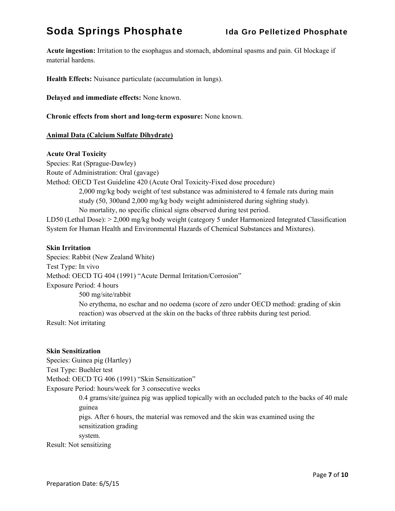**Acute ingestion:** Irritation to the esophagus and stomach, abdominal spasms and pain. GI blockage if material hardens.

**Health Effects:** Nuisance particulate (accumulation in lungs).

**Delayed and immediate effects:** None known.

**Chronic effects from short and long-term exposure:** None known.

#### **Animal Data (Calcium Sulfate Dihydrate)**

#### **Acute Oral Toxicity**

Species: Rat (Sprague-Dawley) Route of Administration: Oral (gavage) Method: OECD Test Guideline 420 (Acute Oral Toxicity-Fixed dose procedure) 2,000 mg/kg body weight of test substance was administered to 4 female rats during main study (50, 300and 2,000 mg/kg body weight administered during sighting study). No mortality, no specific clinical signs observed during test period.

LD50 (Lethal Dose): > 2,000 mg/kg body weight (category 5 under Harmonized Integrated Classification System for Human Health and Environmental Hazards of Chemical Substances and Mixtures).

#### **Skin Irritation**

Species: Rabbit (New Zealand White) Test Type: In vivo Method: OECD TG 404 (1991) "Acute Dermal Irritation/Corrosion" Exposure Period: 4 hours 500 mg/site/rabbit No erythema, no eschar and no oedema (score of zero under OECD method: grading of skin reaction) was observed at the skin on the backs of three rabbits during test period. Result: Not irritating

#### **Skin Sensitization**

Species: Guinea pig (Hartley) Test Type: Buehler test Method: OECD TG 406 (1991) "Skin Sensitization" Exposure Period: hours/week for 3 consecutive weeks 0.4 grams/site/guinea pig was applied topically with an occluded patch to the backs of 40 male guinea pigs. After 6 hours, the material was removed and the skin was examined using the sensitization grading system. Result: Not sensitizing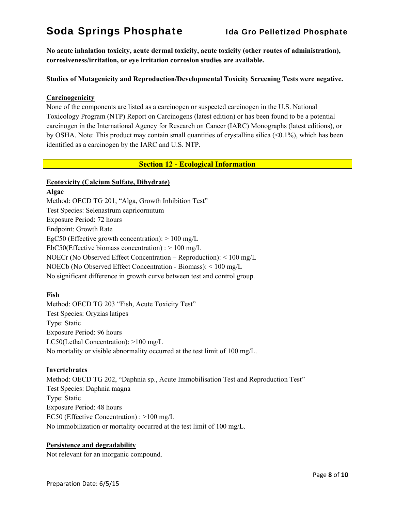**No acute inhalation toxicity, acute dermal toxicity, acute toxicity (other routes of administration), corrosiveness/irritation, or eye irritation corrosion studies are available.** 

#### **Studies of Mutagenicity and Reproduction/Developmental Toxicity Screening Tests were negative.**

#### **Carcinogenicity**

None of the components are listed as a carcinogen or suspected carcinogen in the U.S. National Toxicology Program (NTP) Report on Carcinogens (latest edition) or has been found to be a potential carcinogen in the International Agency for Research on Cancer (IARC) Monographs (latest editions), or by OSHA. Note: This product may contain small quantities of crystalline silica (<0.1%), which has been identified as a carcinogen by the IARC and U.S. NTP.

#### **Section 12 - Ecological Information**

#### **Ecotoxicity (Calcium Sulfate, Dihydrate)**

#### **Algae**

Method: OECD TG 201, "Alga, Growth Inhibition Test" Test Species: Selenastrum capricornutum Exposure Period: 72 hours Endpoint: Growth Rate EgC50 (Effective growth concentration):  $> 100$  mg/L EbC50(Effective biomass concentration) :  $> 100$  mg/L NOECr (No Observed Effect Concentration – Reproduction): < 100 mg/L NOECb (No Observed Effect Concentration - Biomass): < 100 mg/L No significant difference in growth curve between test and control group.

#### **Fish**

Method: OECD TG 203 "Fish, Acute Toxicity Test" Test Species: Oryzias latipes Type: Static Exposure Period: 96 hours LC50(Lethal Concentration): >100 mg/L No mortality or visible abnormality occurred at the test limit of 100 mg/L.

#### **Invertebrates**

Method: OECD TG 202, "Daphnia sp., Acute Immobilisation Test and Reproduction Test" Test Species: Daphnia magna Type: Static Exposure Period: 48 hours EC50 (Effective Concentration) : >100 mg/L No immobilization or mortality occurred at the test limit of 100 mg/L.

#### **Persistence and degradability**

Not relevant for an inorganic compound.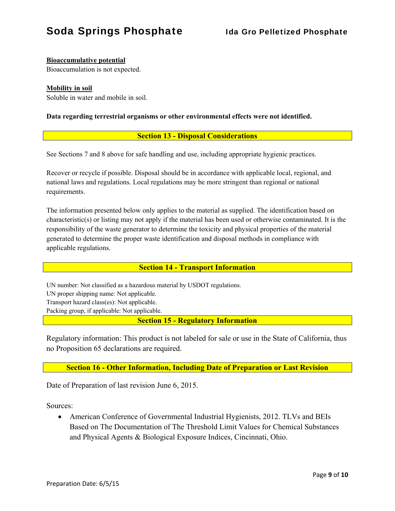### **Bioaccumulative potential**

Bioaccumulation is not expected.

#### **Mobility in soil**

Soluble in water and mobile in soil.

#### **Data regarding terrestrial organisms or other environmental effects were not identified.**

#### **Section 13 - Disposal Considerations**

See Sections 7 and 8 above for safe handling and use, including appropriate hygienic practices.

Recover or recycle if possible. Disposal should be in accordance with applicable local, regional, and national laws and regulations. Local regulations may be more stringent than regional or national requirements.

The information presented below only applies to the material as supplied. The identification based on characteristic(s) or listing may not apply if the material has been used or otherwise contaminated. It is the responsibility of the waste generator to determine the toxicity and physical properties of the material generated to determine the proper waste identification and disposal methods in compliance with applicable regulations.

#### **Section 14 - Transport Information**

UN number: Not classified as a hazardous material by USDOT regulations.

UN proper shipping name: Not applicable.

Transport hazard class(es): Not applicable.

Packing group, if applicable: Not applicable.

**Section 15 - Regulatory Information** 

Regulatory information: This product is not labeled for sale or use in the State of California, thus no Proposition 65 declarations are required.

**Section 16 - Other Information, Including Date of Preparation or Last Revision** 

Date of Preparation of last revision June 6, 2015.

Sources:

 American Conference of Governmental Industrial Hygienists, 2012. TLVs and BEIs Based on The Documentation of The Threshold Limit Values for Chemical Substances and Physical Agents & Biological Exposure Indices, Cincinnati, Ohio.